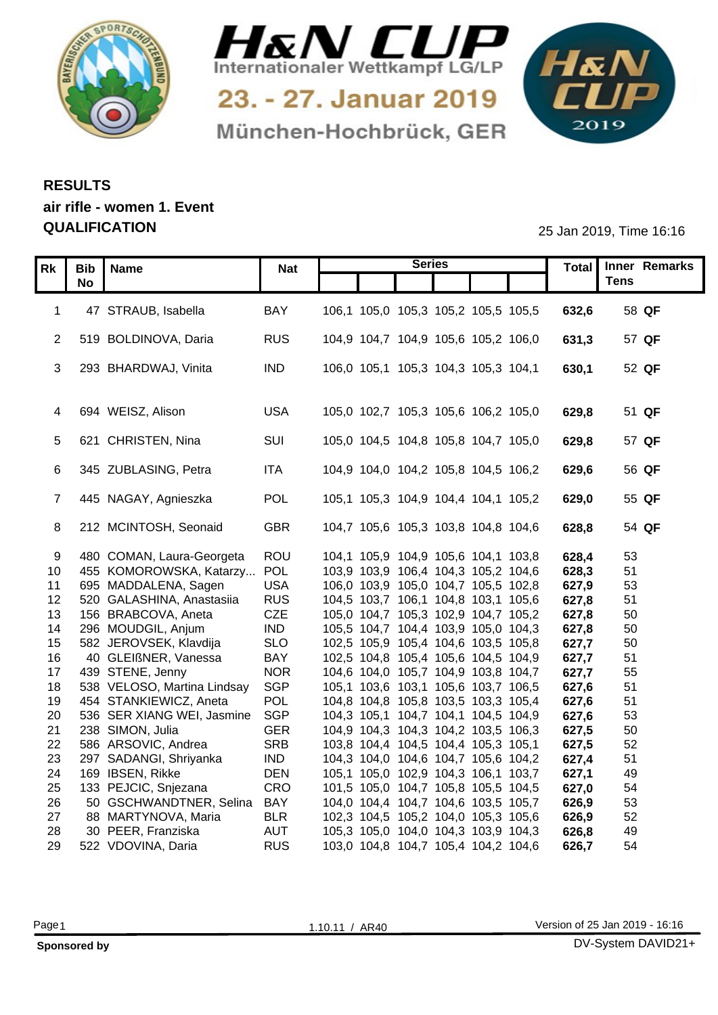



München-Hochbrück, GER

1&N 

## **RESULTS air rifle - women 1. Event QUALIFICATION** 25 Jan 2019, Time 16:16

|                 |                                |            |                                     | <b>Series</b> |  |       | Total Inner Remarks |
|-----------------|--------------------------------|------------|-------------------------------------|---------------|--|-------|---------------------|
|                 | Rk   Bib   Name<br><b>No</b>   | Nat        |                                     |               |  |       | <b>Tens</b>         |
|                 |                                |            |                                     |               |  |       |                     |
|                 | 1 47 STRAUB, Isabella          | BAY        | 106,1 105,0 105,3 105,2 105,5 105,5 |               |  | 632,6 | 58 QF               |
|                 |                                |            |                                     |               |  |       |                     |
|                 | 2 519 BOLDINOVA, Daria         | <b>RUS</b> | 104,9 104,7 104,9 105,6 105,2 106,0 |               |  | 631,3 | 57 QF               |
|                 |                                |            |                                     |               |  |       |                     |
|                 | 3 293 BHARDWAJ, Vinita         | IND        | 106,0 105,1 105,3 104,3 105,3 104,1 |               |  | 630,1 | 52 QF               |
|                 |                                |            |                                     |               |  |       |                     |
|                 |                                |            |                                     |               |  |       |                     |
|                 | 4 694 WEISZ, Alison            | USA        | 105,0 102,7 105,3 105,6 106,2 105,0 |               |  | 629,8 | 51 QF               |
|                 |                                |            |                                     |               |  |       |                     |
|                 | 5 621 CHRISTEN, Nina           | SUI        | 105,0 104,5 104,8 105,8 104,7 105,0 |               |  | 629,8 | 57 QF               |
|                 |                                |            |                                     |               |  |       |                     |
|                 | 6 345 ZUBLASING, Petra         | ITA        | 104,9 104,0 104,2 105,8 104,5 106,2 |               |  | 629,6 | 56 QF               |
|                 |                                |            |                                     |               |  |       |                     |
|                 | 7 445 NAGAY, Agnieszka         | POL        | 105,1 105,3 104,9 104,4 104,1 105,2 |               |  | 629,0 | 55 QF               |
|                 |                                |            |                                     |               |  |       |                     |
|                 | 8 212 MCINTOSH, Seonaid        | <b>GBR</b> | 104,7 105,6 105,3 103,8 104,8 104,6 |               |  | 628,8 | 54 QF               |
|                 |                                |            |                                     |               |  |       |                     |
|                 | 480 COMAN, Laura-Georgeta      | ROU        | 104,1 105,9 104,9 105,6 104,1 103,8 |               |  | 628,4 | 53                  |
|                 | 10 455 KOMOROWSKA, Katarzy POL |            | 103,9 103,9 106,4 104,3 105,2 104,6 |               |  | 628,3 | 51                  |
| 11              | 695 MADDALENA, Sagen           | <b>USA</b> | 106,0 103,9 105,0 104,7 105,5 102,8 |               |  | 627,9 | 53                  |
|                 | 12 520 GALASHINA, Anastasiia   | <b>RUS</b> | 104,5 103,7 106,1 104,8 103,1 105,6 |               |  | 627,8 | 51                  |
|                 | 13 156 BRABCOVA, Aneta         | CZE        | 105,0 104,7 105,3 102,9 104,7 105,2 |               |  | 627,8 | 50                  |
|                 | 14 296 MOUDGIL, Anjum          | <b>IND</b> | 105,5 104,7 104,4 103,9 105,0 104,3 |               |  | 627,8 | 50                  |
|                 | 15 582 JEROVSEK, Klavdija      | <b>SLO</b> | 102,5 105,9 105,4 104,6 103,5 105,8 |               |  | 627,7 | 50                  |
| 16              | 40 GLEIßNER, Vanessa           | <b>BAY</b> | 102,5 104,8 105,4 105,6 104,5 104,9 |               |  | 627,7 | 51                  |
| 17 <sup>7</sup> | 439 STENE, Jenny               | <b>NOR</b> | 104,6 104,0 105,7 104,9 103,8 104,7 |               |  | 627,7 | 55                  |
| 18              | 538 VELOSO, Martina Lindsay    | <b>SGP</b> | 105,1 103,6 103,1 105,6 103,7 106,5 |               |  | 627,6 | 51                  |
| 19              | 454 STANKIEWICZ, Aneta         | POL        | 104,8 104,8 105,8 103,5 103,3 105,4 |               |  | 627,6 | 51                  |
| 20              | 536 SER XIANG WEI, Jasmine     | SGP        | 104,3 105,1 104,7 104,1 104,5 104,9 |               |  | 627,6 | 53                  |
| 21              | 238 SIMON, Julia               | <b>GER</b> | 104,9 104,3 104,3 104,2 103,5 106,3 |               |  | 627,5 | 50                  |
| 22              | 586 ARSOVIC, Andrea            | <b>SRB</b> | 103,8 104,4 104,5 104,4 105,3 105,1 |               |  | 627,5 | 52                  |
| 23              | 297 SADANGI, Shriyanka         | <b>IND</b> | 104,3 104,0 104,6 104,7 105,6 104,2 |               |  | 627,4 | 51                  |
| 24              | 169 IBSEN, Rikke               | <b>DEN</b> | 105,1 105,0 102,9 104,3 106,1 103,7 |               |  | 627,1 | 49                  |
| 25              | 133 PEJCIC, Snjezana           | CRO        | 101,5 105,0 104,7 105,8 105,5 104,5 |               |  | 627,0 | 54                  |
| 26              | 50 GSCHWANDTNER, Selina        | BAY        | 104,0 104,4 104,7 104,6 103,5 105,7 |               |  | 626,9 | 53                  |
| 27              | 88 MARTYNOVA, Maria            | <b>BLR</b> | 102,3 104,5 105,2 104,0 105,3 105,6 |               |  | 626,9 | 52                  |
| 28              | 30 PEER, Franziska             | <b>AUT</b> | 105,3 105,0 104,0 104,3 103,9 104,3 |               |  | 626,8 | 49                  |
| 29              | 522 VDOVINA, Daria             | <b>RUS</b> | 103,0 104,8 104,7 105,4 104,2 104,6 |               |  | 626,7 | 54                  |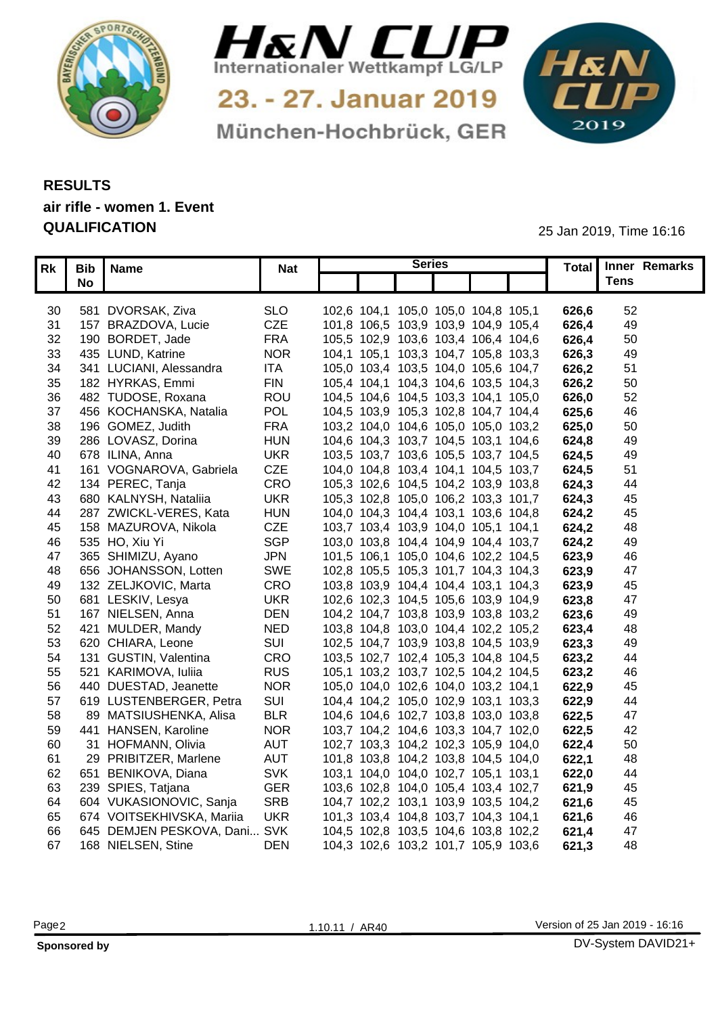



München-Hochbrück, GER

1&N 

## **RESULTS air rifle - women 1. Event QUALIFICATION** 25 Jan 2019, Time 16:16

|     | Rk Bib Name                     | <b>Nat</b> | <b>Series</b>                       |                                     |       |                | Total   Inner Remarks |
|-----|---------------------------------|------------|-------------------------------------|-------------------------------------|-------|----------------|-----------------------|
|     | <b>No</b>                       |            |                                     |                                     |       | <b>Tens</b>    |                       |
|     |                                 |            |                                     |                                     |       |                |                       |
| 30  | 581 DVORSAK, Ziva               | <b>SLO</b> | 102,6 104,1 105,0 105,0 104,8 105,1 |                                     | 626,6 | 52             |                       |
| 31  | 157 BRAZDOVA, Lucie             | CZE        | 101,8 106,5 103,9 103,9 104,9 105,4 |                                     | 626,4 | 49             |                       |
| 32  | 190 BORDET, Jade                | <b>FRA</b> | 105,5 102,9 103,6 103,4 106,4 104,6 |                                     | 626,4 | 50             |                       |
| 33  | 435 LUND, Katrine               | <b>NOR</b> | 104,1 105,1 103,3 104,7 105,8 103,3 |                                     | 626,3 | 49             |                       |
| 34  | 341 LUCIANI, Alessandra         | ITA        | 105,0 103,4 103,5 104,0 105,6 104,7 |                                     | 626,2 | 5 <sup>′</sup> |                       |
| 35  | 182 HYRKAS, Emmi                | <b>FIN</b> | 105,4 104,1 104,3 104,6 103,5 104,3 |                                     | 626,2 | 50             |                       |
| 36  | 482 TUDOSE, Roxana              | ROU        | 104,5 104,6 104,5 103,3 104,1 105,0 |                                     | 626,0 | 52             |                       |
| 37  | 456 KOCHANSKA, Natalia          | POL        | 104,5 103,9 105,3 102,8 104,7 104,4 |                                     | 625,6 | 46             |                       |
| 38  | 196 GOMEZ, Judith               | <b>FRA</b> | 103,2 104,0 104,6 105,0 105,0 103,2 |                                     | 625,0 | 50             |                       |
| 39  | 286 LOVASZ, Dorina              | <b>HUN</b> | 104,6 104,3 103,7 104,5 103,1 104,6 |                                     | 624,8 | 49             |                       |
| 40  | 678 ILINA, Anna                 | <b>UKR</b> | 103,5 103,7 103,6 105,5 103,7 104,5 |                                     | 624,5 | 49             |                       |
| -41 | 161 VOGNAROVA, Gabriela         | CZE        | 104,0 104,8 103,4 104,1 104,5 103,7 |                                     | 624,5 | 51             |                       |
| 42  | 134 PEREC, Tanja                | CRO        | 105,3 102,6 104,5 104,2 103,9 103,8 |                                     | 624,3 | 44             |                       |
| 43  | 680 KALNYSH, Nataliia           | <b>UKR</b> | 105,3 102,8 105,0 106,2 103,3 101,7 |                                     | 624,3 | 45             |                       |
| 44  | 287 ZWICKL-VERES, Kata          | <b>HUN</b> | 104,0 104,3 104,4 103,1 103,6 104,8 |                                     | 624,2 | 45             |                       |
| 45  | 158 MAZUROVA, Nikola            | <b>CZE</b> | 103,7 103,4 103,9 104,0 105,1 104,1 |                                     | 624,2 | 48             |                       |
| 46  | 535 HO, Xiu Yi                  | <b>SGP</b> | 103,0 103,8 104,4 104,9 104,4 103,7 |                                     | 624,2 | 49             |                       |
| 47  | 365 SHIMIZU, Ayano              | <b>JPN</b> | 101,5 106,1 105,0 104,6 102,2 104,5 |                                     | 623,9 | 46             |                       |
| 48  | 656 JOHANSSON, Lotten           | <b>SWE</b> | 102,8 105,5 105,3 101,7 104,3 104,3 |                                     | 623,9 | -47            |                       |
| 49  | 132 ZELJKOVIC, Marta            | CRO        | 103,8 103,9 104,4 104,4 103,1 104,3 |                                     | 623,9 | 45             |                       |
| 50  | 681 LESKIV, Lesya               | <b>UKR</b> | 102,6 102,3 104,5 105,6 103,9 104,9 |                                     | 623,8 | -47            |                       |
| 51  | 167 NIELSEN, Anna               | <b>DEN</b> | 104,2 104,7 103,8 103,9 103,8 103,2 |                                     | 623,6 | 49             |                       |
| 52  | 421 MULDER, Mandy               | <b>NED</b> | 103,8 104,8 103,0 104,4 102,2 105,2 |                                     | 623,4 | 48             |                       |
| 53  | 620 CHIARA, Leone               | SUI        | 102,5 104,7 103,9 103,8 104,5 103,9 |                                     | 623,3 | 49             |                       |
| 54  | 131 GUSTIN, Valentina           | CRO        | 103,5 102,7 102,4 105,3 104,8 104,5 |                                     | 623,2 | 44             |                       |
|     | 55 521 KARIMOVA, Iuliia         | <b>RUS</b> | 105,1 103,2 103,7 102,5 104,2 104,5 |                                     | 623,2 | 46             |                       |
| 56  | 440 DUESTAD, Jeanette           | <b>NOR</b> | 105,0 104,0 102,6 104,0 103,2 104,1 |                                     | 622,9 | 45             |                       |
| 57  | 619 LUSTENBERGER, Petra         | SUI        | 104,4 104,2 105,0 102,9 103,1 103,3 |                                     | 622,9 | 44             |                       |
| 58  | 89 MATSIUSHENKA, Alisa          | <b>BLR</b> | 104,6 104,6 102,7 103,8 103,0 103,8 |                                     | 622,5 | -47            |                       |
| 59  | 441 HANSEN, Karoline            | <b>NOR</b> | 103,7 104,2 104,6 103,3 104,7 102,0 |                                     | 622,5 | 42             |                       |
| 60  | 31 HOFMANN, Olivia              | <b>AUT</b> |                                     | 102,7 103,3 104,2 102,3 105,9 104,0 | 622,4 | 50             |                       |
| 61. | 29 PRIBITZER, Marlene           | <b>AUT</b> | 101,8 103,8 104,2 103,8 104,5 104,0 |                                     | 622,1 | 48             |                       |
| 62  | 651 BENIKOVA, Diana             | <b>SVK</b> | 103,1 104,0 104,0 102,7 105,1 103,1 |                                     | 622,0 | 44             |                       |
| 63  | 239 SPIES, Tatjana              | <b>GER</b> | 103,6 102,8 104,0 105,4 103,4 102,7 |                                     | 621,9 | 45             |                       |
| 64  | 604 VUKASIONOVIC, Sanja         | <b>SRB</b> |                                     | 104,7 102,2 103,1 103,9 103,5 104,2 | 621,6 | 45             |                       |
|     | 65 674 VOITSEKHIVSKA, Mariia    | <b>UKR</b> | 101,3 103,4 104,8 103,7 104,3 104,1 |                                     | 621.6 | 46             |                       |
|     | 66 645 DEMJEN PESKOVA, Dani SVK |            |                                     | 104,5 102,8 103,5 104,6 103,8 102,2 | 621.4 | 47             |                       |
|     | 67 168 NIELSEN, Stine           | <b>DEN</b> |                                     | 104,3 102,6 103,2 101,7 105,9 103,6 | 621,3 | 48             |                       |